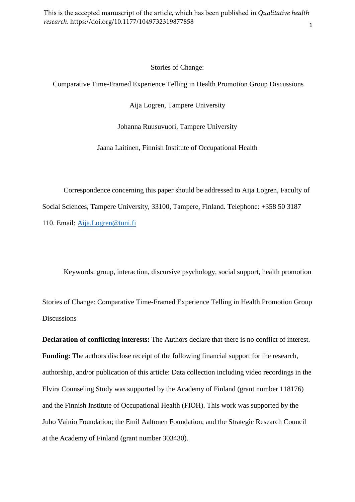### Stories of Change:

Comparative Time-Framed Experience Telling in Health Promotion Group Discussions

Aija Logren, Tampere University

Johanna Ruusuvuori, Tampere University

Jaana Laitinen, Finnish Institute of Occupational Health

Correspondence concerning this paper should be addressed to Aija Logren, Faculty of Social Sciences, Tampere University, 33100, Tampere, Finland. Telephone: +358 50 3187 110. Email: [Aija.Logren@tuni.fi](mailto:Aija.Logren@tuni.fi)

Keywords: group, interaction, discursive psychology, social support, health promotion

Stories of Change: Comparative Time-Framed Experience Telling in Health Promotion Group **Discussions** 

**Declaration of conflicting interests:** The Authors declare that there is no conflict of interest. **Funding:** The authors disclose receipt of the following financial support for the research, authorship, and/or publication of this article: Data collection including video recordings in the Elvira Counseling Study was supported by the Academy of Finland (grant number 118176) and the Finnish Institute of Occupational Health (FIOH). This work was supported by the Juho Vainio Foundation; the Emil Aaltonen Foundation; and the Strategic Research Council at the Academy of Finland (grant number 303430).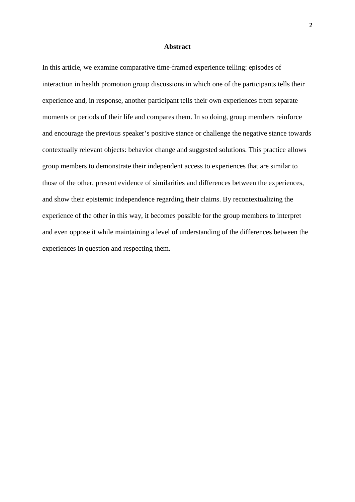#### **Abstract**

In this article, we examine comparative time-framed experience telling: episodes of interaction in health promotion group discussions in which one of the participants tells their experience and, in response, another participant tells their own experiences from separate moments or periods of their life and compares them. In so doing, group members reinforce and encourage the previous speaker's positive stance or challenge the negative stance towards contextually relevant objects: behavior change and suggested solutions. This practice allows group members to demonstrate their independent access to experiences that are similar to those of the other, present evidence of similarities and differences between the experiences, and show their epistemic independence regarding their claims. By recontextualizing the experience of the other in this way, it becomes possible for the group members to interpret and even oppose it while maintaining a level of understanding of the differences between the experiences in question and respecting them.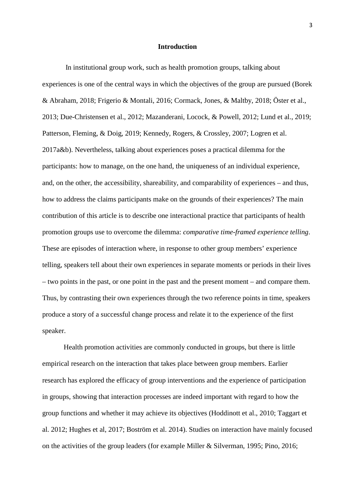#### **Introduction**

In institutional group work, such as health promotion groups, talking about experiences is one of the central ways in which the objectives of the group are pursued (Borek & Abraham, 2018; Frigerio & Montali, 2016; Cormack, Jones, & Maltby, 2018; Öster et al., 2013; Due-Christensen et al., 2012; Mazanderani, Locock, & Powell, 2012; Lund et al., 2019; Patterson, Fleming, & Doig, 2019; Kennedy, Rogers, & Crossley, 2007; Logren et al. 2017a&b). Nevertheless, talking about experiences poses a practical dilemma for the participants: how to manage, on the one hand, the uniqueness of an individual experience, and, on the other, the accessibility, shareability, and comparability of experiences – and thus, how to address the claims participants make on the grounds of their experiences? The main contribution of this article is to describe one interactional practice that participants of health promotion groups use to overcome the dilemma: *comparative time-framed experience telling*. These are episodes of interaction where, in response to other group members' experience telling, speakers tell about their own experiences in separate moments or periods in their lives – two points in the past, or one point in the past and the present moment – and compare them. Thus, by contrasting their own experiences through the two reference points in time, speakers produce a story of a successful change process and relate it to the experience of the first speaker.

Health promotion activities are commonly conducted in groups, but there is little empirical research on the interaction that takes place between group members. Earlier research has explored the efficacy of group interventions and the experience of participation in groups, showing that interaction processes are indeed important with regard to how the group functions and whether it may achieve its objectives (Hoddinott et al., 2010; Taggart et al. 2012; Hughes et al, 2017; Boström et al. 2014). Studies on interaction have mainly focused on the activities of the group leaders (for example Miller & Silverman, 1995; Pino, 2016;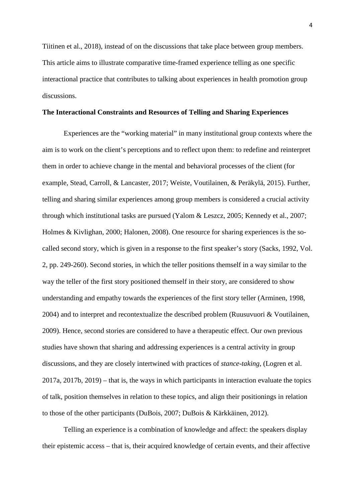Tiitinen et al., 2018), instead of on the discussions that take place between group members. This article aims to illustrate comparative time-framed experience telling as one specific interactional practice that contributes to talking about experiences in health promotion group discussions.

#### **The Interactional Constraints and Resources of Telling and Sharing Experiences**

Experiences are the "working material" in many institutional group contexts where the aim is to work on the client's perceptions and to reflect upon them: to redefine and reinterpret them in order to achieve change in the mental and behavioral processes of the client (for example, Stead, Carroll, & Lancaster, 2017; Weiste, Voutilainen, & Peräkylä, 2015). Further, telling and sharing similar experiences among group members is considered a crucial activity through which institutional tasks are pursued (Yalom & Leszcz, 2005; Kennedy et al., 2007; Holmes & Kivlighan, 2000; Halonen, 2008). One resource for sharing experiences is the socalled second story, which is given in a response to the first speaker's story (Sacks, 1992, Vol. 2, pp. 249-260). Second stories, in which the teller positions themself in a way similar to the way the teller of the first story positioned themself in their story, are considered to show understanding and empathy towards the experiences of the first story teller (Arminen, 1998, 2004) and to interpret and recontextualize the described problem (Ruusuvuori & Voutilainen, 2009). Hence, second stories are considered to have a therapeutic effect. Our own previous studies have shown that sharing and addressing experiences is a central activity in group discussions, and they are closely intertwined with practices of *stance-taking*, (Logren et al. 2017a, 2017b, 2019) – that is, the ways in which participants in interaction evaluate the topics of talk, position themselves in relation to these topics, and align their positionings in relation to those of the other participants (DuBois, 2007; DuBois & Kärkkäinen, 2012).

Telling an experience is a combination of knowledge and affect: the speakers display their epistemic access – that is, their acquired knowledge of certain events, and their affective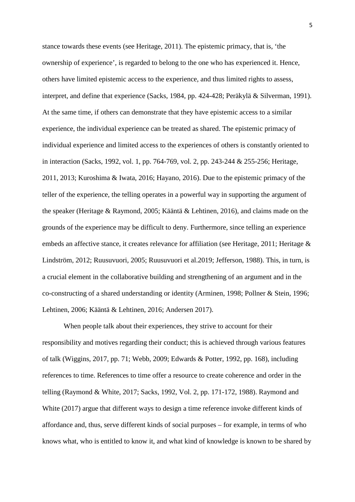stance towards these events (see Heritage, 2011). The epistemic primacy, that is, 'the ownership of experience', is regarded to belong to the one who has experienced it. Hence, others have limited epistemic access to the experience, and thus limited rights to assess, interpret, and define that experience (Sacks, 1984, pp. 424-428; Peräkylä & Silverman, 1991). At the same time, if others can demonstrate that they have epistemic access to a similar experience, the individual experience can be treated as shared. The epistemic primacy of individual experience and limited access to the experiences of others is constantly oriented to in interaction (Sacks, 1992, vol. 1, pp. 764-769, vol. 2, pp. 243-244 & 255-256; Heritage, 2011, 2013; Kuroshima & Iwata, 2016; Hayano, 2016). Due to the epistemic primacy of the teller of the experience, the telling operates in a powerful way in supporting the argument of the speaker (Heritage & Raymond, 2005; Kääntä & Lehtinen, 2016), and claims made on the grounds of the experience may be difficult to deny. Furthermore, since telling an experience embeds an affective stance, it creates relevance for affiliation (see Heritage, 2011; Heritage & Lindström, 2012; Ruusuvuori, 2005; Ruusuvuori et al.2019; Jefferson, 1988). This, in turn, is a crucial element in the collaborative building and strengthening of an argument and in the co-constructing of a shared understanding or identity (Arminen, 1998; Pollner & Stein, 1996; Lehtinen, 2006; Kääntä & Lehtinen, 2016; Andersen 2017).

When people talk about their experiences, they strive to account for their responsibility and motives regarding their conduct; this is achieved through various features of talk (Wiggins, 2017, pp. 71; Webb, 2009; Edwards & Potter, 1992, pp. 168), including references to time. References to time offer a resource to create coherence and order in the telling (Raymond & White, 2017; Sacks, 1992, Vol. 2, pp. 171-172, 1988). Raymond and White (2017) argue that different ways to design a time reference invoke different kinds of affordance and, thus, serve different kinds of social purposes – for example, in terms of who knows what, who is entitled to know it, and what kind of knowledge is known to be shared by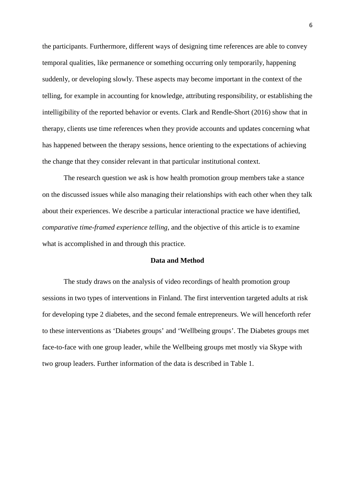the participants. Furthermore, different ways of designing time references are able to convey temporal qualities, like permanence or something occurring only temporarily, happening suddenly, or developing slowly. These aspects may become important in the context of the telling, for example in accounting for knowledge, attributing responsibility, or establishing the intelligibility of the reported behavior or events. Clark and Rendle-Short (2016) show that in therapy, clients use time references when they provide accounts and updates concerning what has happened between the therapy sessions, hence orienting to the expectations of achieving the change that they consider relevant in that particular institutional context.

The research question we ask is how health promotion group members take a stance on the discussed issues while also managing their relationships with each other when they talk about their experiences. We describe a particular interactional practice we have identified, *comparative time-framed experience telling,* and the objective of this article is to examine what is accomplished in and through this practice.

### **Data and Method**

The study draws on the analysis of video recordings of health promotion group sessions in two types of interventions in Finland. The first intervention targeted adults at risk for developing type 2 diabetes, and the second female entrepreneurs. We will henceforth refer to these interventions as 'Diabetes groups' and 'Wellbeing groups'. The Diabetes groups met face-to-face with one group leader, while the Wellbeing groups met mostly via Skype with two group leaders. Further information of the data is described in Table 1.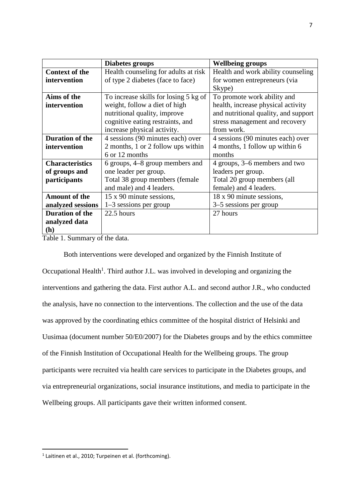|                                               | Diabetes groups                       | <b>Wellbeing groups</b>              |  |
|-----------------------------------------------|---------------------------------------|--------------------------------------|--|
| <b>Context of the</b>                         | Health counseling for adults at risk  | Health and work ability counseling   |  |
| intervention                                  | of type 2 diabetes (face to face)     | for women entrepreneurs (via         |  |
|                                               |                                       | Skype)                               |  |
| Aims of the                                   | To increase skills for losing 5 kg of | To promote work ability and          |  |
| weight, follow a diet of high<br>intervention |                                       | health, increase physical activity   |  |
|                                               | nutritional quality, improve          | and nutritional quality, and support |  |
|                                               | cognitive eating restraints, and      | stress management and recovery       |  |
|                                               | increase physical activity.           | from work.                           |  |
| <b>Duration of the</b>                        | 4 sessions (90 minutes each) over     | 4 sessions (90 minutes each) over    |  |
| intervention                                  | 2 months, 1 or 2 follow ups within    | 4 months, 1 follow up within 6       |  |
|                                               | 6 or 12 months                        | months                               |  |
| <b>Characteristics</b>                        | 6 groups, 4–8 group members and       | 4 groups, 3–6 members and two        |  |
| of groups and                                 | one leader per group.                 | leaders per group.                   |  |
| participants                                  | Total 38 group members (female        | Total 20 group members (all          |  |
|                                               | and male) and 4 leaders.              | female) and 4 leaders.               |  |
| <b>Amount of the</b>                          | 15 x 90 minute sessions,              | 18 x 90 minute sessions,             |  |
| analyzed sessions                             | 1-3 sessions per group                | 3–5 sessions per group               |  |
| <b>Duration of the</b>                        | $22.5$ hours                          | 27 hours                             |  |
| analyzed data                                 |                                       |                                      |  |
| (h)                                           |                                       |                                      |  |

Table 1. Summary of the data.

Both interventions were developed and organized by the Finnish Institute of Occupational Health<sup>1</sup>. Third author J.L. was involved in developing and organizing the interventions and gathering the data. First author A.L. and second author J.R., who conducted the analysis, have no connection to the interventions. The collection and the use of the data was approved by the coordinating ethics committee of the hospital district of Helsinki and Uusimaa (document number 50/E0/2007) for the Diabetes groups and by the ethics committee of the Finnish Institution of Occupational Health for the Wellbeing groups. The group participants were recruited via health care services to participate in the Diabetes groups, and via entrepreneurial organizations, social insurance institutions, and media to participate in the Wellbeing groups. All participants gave their written informed consent.

<sup>&</sup>lt;sup>1</sup> Laitinen et al., 2010; Turpeinen et al. (forthcoming).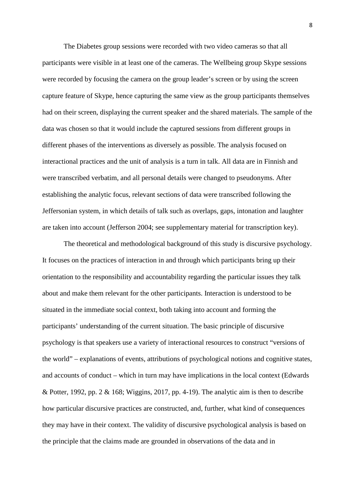The Diabetes group sessions were recorded with two video cameras so that all participants were visible in at least one of the cameras. The Wellbeing group Skype sessions were recorded by focusing the camera on the group leader's screen or by using the screen capture feature of Skype, hence capturing the same view as the group participants themselves had on their screen, displaying the current speaker and the shared materials. The sample of the data was chosen so that it would include the captured sessions from different groups in different phases of the interventions as diversely as possible. The analysis focused on interactional practices and the unit of analysis is a turn in talk. All data are in Finnish and were transcribed verbatim, and all personal details were changed to pseudonyms. After establishing the analytic focus, relevant sections of data were transcribed following the Jeffersonian system, in which details of talk such as overlaps, gaps, intonation and laughter are taken into account (Jefferson 2004; see supplementary material for transcription key).

The theoretical and methodological background of this study is discursive psychology. It focuses on the practices of interaction in and through which participants bring up their orientation to the responsibility and accountability regarding the particular issues they talk about and make them relevant for the other participants. Interaction is understood to be situated in the immediate social context, both taking into account and forming the participants' understanding of the current situation. The basic principle of discursive psychology is that speakers use a variety of interactional resources to construct "versions of the world" – explanations of events, attributions of psychological notions and cognitive states, and accounts of conduct – which in turn may have implications in the local context (Edwards & Potter, 1992, pp. 2 & 168; Wiggins, 2017, pp. 4-19). The analytic aim is then to describe how particular discursive practices are constructed, and, further, what kind of consequences they may have in their context. The validity of discursive psychological analysis is based on the principle that the claims made are grounded in observations of the data and in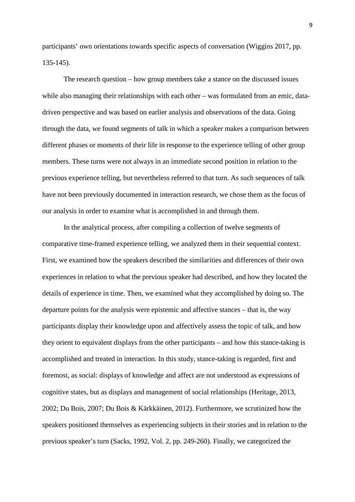participants' own orientations towards specific aspects of conversation (Wiggins 2017, pp. 135-145).

The research question – how group members take a stance on the discussed issues while also managing their relationships with each other – was formulated from an emic, datadriven perspective and was based on earlier analysis and observations of the data. Going through the data, we found segments of talk in which a speaker makes a comparison between different phases or moments of their life in response to the experience telling of other group members. These turns were not always in an immediate second position in relation to the previous experience telling, but nevertheless referred to that turn. As such sequences of talk have not been previously documented in interaction research, we chose them as the focus of our analysis in order to examine what is accomplished in and through them.

In the analytical process, after compiling a collection of twelve segments of comparative time-framed experience telling, we analyzed them in their sequential context. First, we examined how the speakers described the similarities and differences of their own experiences in relation to what the previous speaker had described, and how they located the details of experience in time. Then, we examined what they accomplished by doing so. The departure points for the analysis were epistemic and affective stances – that is, the way participants display their knowledge upon and affectively assess the topic of talk, and how they orient to equivalent displays from the other participants – and how this stance-taking is accomplished and treated in interaction. In this study, stance-taking is regarded, first and foremost, as social: displays of knowledge and affect are not understood as expressions of cognitive states, but as displays and management of social relationships (Heritage, 2013, 2002; Du Bois, 2007; Du Bois & Kärkkäinen, 2012). Furthermore, we scrutinized how the speakers positioned themselves as experiencing subjects in their stories and in relation to the previous speaker's turn (Sacks, 1992, Vol. 2, pp. 249-260). Finally, we categorized the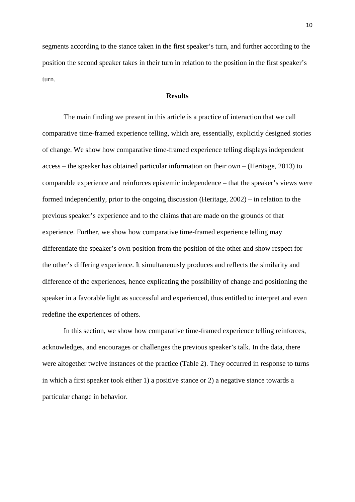segments according to the stance taken in the first speaker's turn, and further according to the position the second speaker takes in their turn in relation to the position in the first speaker's turn.

### **Results**

The main finding we present in this article is a practice of interaction that we call comparative time-framed experience telling, which are, essentially, explicitly designed stories of change. We show how comparative time-framed experience telling displays independent access – the speaker has obtained particular information on their own – (Heritage, 2013) to comparable experience and reinforces epistemic independence – that the speaker's views were formed independently, prior to the ongoing discussion (Heritage, 2002) – in relation to the previous speaker's experience and to the claims that are made on the grounds of that experience. Further, we show how comparative time-framed experience telling may differentiate the speaker's own position from the position of the other and show respect for the other's differing experience. It simultaneously produces and reflects the similarity and difference of the experiences, hence explicating the possibility of change and positioning the speaker in a favorable light as successful and experienced, thus entitled to interpret and even redefine the experiences of others.

In this section, we show how comparative time-framed experience telling reinforces, acknowledges, and encourages or challenges the previous speaker's talk. In the data, there were altogether twelve instances of the practice (Table 2). They occurred in response to turns in which a first speaker took either 1) a positive stance or 2) a negative stance towards a particular change in behavior.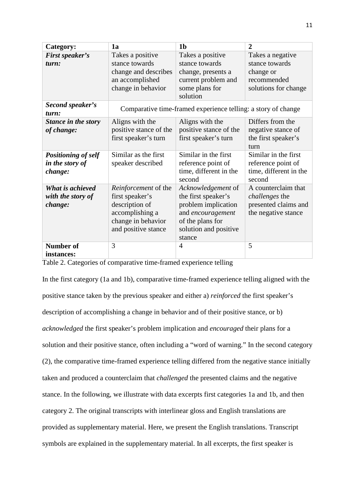| Category:                                                | 1a                                                                                                                        | 1 <sub>b</sub>                                                                                                                               | 2                                                                                           |
|----------------------------------------------------------|---------------------------------------------------------------------------------------------------------------------------|----------------------------------------------------------------------------------------------------------------------------------------------|---------------------------------------------------------------------------------------------|
| First speaker's<br>turn:                                 | Takes a positive<br>stance towards<br>change and describes<br>an accomplished<br>change in behavior                       | Takes a positive<br>stance towards<br>change, presents a<br>current problem and<br>some plans for<br>solution                                | Takes a negative<br>stance towards<br>change or<br>recommended<br>solutions for change      |
| Second speaker's<br>turn:                                |                                                                                                                           | Comparative time-framed experience telling: a story of change                                                                                |                                                                                             |
| Stance in the story<br>of change:                        | Aligns with the<br>positive stance of the<br>first speaker's turn                                                         | Aligns with the<br>positive stance of the<br>first speaker's turn                                                                            | Differs from the<br>negative stance of<br>the first speaker's<br>turn                       |
| <b>Positioning of self</b><br>in the story of<br>change: | Similar as the first<br>speaker described                                                                                 | Similar in the first<br>reference point of<br>time, different in the<br>second                                                               | Similar in the first<br>reference point of<br>time, different in the<br>second              |
| What is achieved<br>with the story of<br>change:         | Reinforcement of the<br>first speaker's<br>description of<br>accomplishing a<br>change in behavior<br>and positive stance | Acknowledgement of<br>the first speaker's<br>problem implication<br>and encouragement<br>of the plans for<br>solution and positive<br>stance | A counterclaim that<br><i>challenges</i> the<br>presented claims and<br>the negative stance |
| <b>Number of</b><br>instances:                           | 3                                                                                                                         | 4                                                                                                                                            | 5                                                                                           |

Table 2. Categories of comparative time-framed experience telling

In the first category (1a and 1b), comparative time-framed experience telling aligned with the positive stance taken by the previous speaker and either a) *reinforced* the first speaker's description of accomplishing a change in behavior and of their positive stance, or b) *acknowledged* the first speaker's problem implication and *encouraged* their plans for a solution and their positive stance, often including a "word of warning." In the second category (2), the comparative time-framed experience telling differed from the negative stance initially taken and produced a counterclaim that *challenged* the presented claims and the negative stance. In the following, we illustrate with data excerpts first categories 1a and 1b, and then category 2. The original transcripts with interlinear gloss and English translations are provided as supplementary material. Here, we present the English translations. Transcript symbols are explained in the supplementary material. In all excerpts, the first speaker is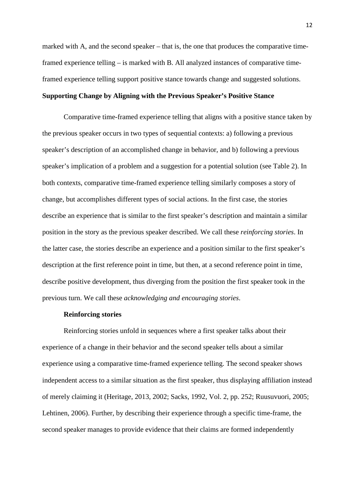marked with A, and the second speaker – that is, the one that produces the comparative timeframed experience telling – is marked with B. All analyzed instances of comparative timeframed experience telling support positive stance towards change and suggested solutions.

# **Supporting Change by Aligning with the Previous Speaker's Positive Stance**

Comparative time-framed experience telling that aligns with a positive stance taken by the previous speaker occurs in two types of sequential contexts: a) following a previous speaker's description of an accomplished change in behavior, and b) following a previous speaker's implication of a problem and a suggestion for a potential solution (see Table 2). In both contexts, comparative time-framed experience telling similarly composes a story of change, but accomplishes different types of social actions. In the first case, the stories describe an experience that is similar to the first speaker's description and maintain a similar position in the story as the previous speaker described. We call these *reinforcing stories*. In the latter case, the stories describe an experience and a position similar to the first speaker's description at the first reference point in time, but then, at a second reference point in time, describe positive development, thus diverging from the position the first speaker took in the previous turn. We call these *acknowledging and encouraging stories*.

#### **Reinforcing stories**

Reinforcing stories unfold in sequences where a first speaker talks about their experience of a change in their behavior and the second speaker tells about a similar experience using a comparative time-framed experience telling. The second speaker shows independent access to a similar situation as the first speaker, thus displaying affiliation instead of merely claiming it (Heritage, 2013, 2002; Sacks, 1992, Vol. 2, pp. 252; Ruusuvuori, 2005; Lehtinen, 2006). Further, by describing their experience through a specific time-frame, the second speaker manages to provide evidence that their claims are formed independently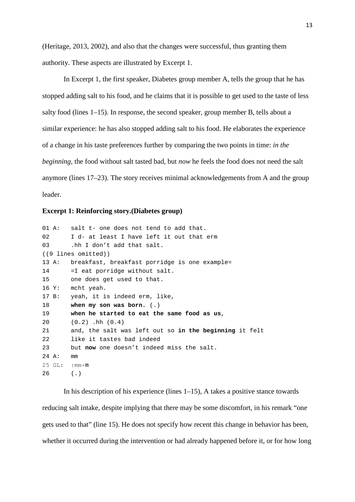(Heritage, 2013, 2002), and also that the changes were successful, thus granting them authority. These aspects are illustrated by Excerpt 1.

In Excerpt 1, the first speaker, Diabetes group member A, tells the group that he has stopped adding salt to his food, and he claims that it is possible to get used to the taste of less salty food (lines 1–15). In response, the second speaker, group member B, tells about a similar experience: he has also stopped adding salt to his food. He elaborates the experience of a change in his taste preferences further by comparing the two points in time: *in the beginning*, the food without salt tasted bad, but *now* he feels the food does not need the salt anymore (lines 17–23). The story receives minimal acknowledgements from A and the group leader.

#### **Excerpt 1: Reinforcing story.(Diabetes group)**

01 A: salt t- one does not tend to add that. 02 I d- at least I have left it out that erm 03 .hh I don't add that salt. ((9 lines omitted)) 13 A: breakfast, breakfast porridge is one example= 14 =I eat porridge without salt. 15 one does get used to that. 16 Y: mcht yeah. 17 B: yeah, it is indeed erm, like, 18 **when my son was born.** (.) 19 **when he started to eat the same food as us**, 20 (0.2) .hh (0.4) 21 and, the salt was left out so **in the beginning** it felt 22 like it tastes bad indeed 23 but **now** one doesn't indeed miss the salt. 24 A: mm 25 GL: ↑mm-m 26 (.)

In his description of his experience (lines  $1-15$ ), A takes a positive stance towards reducing salt intake, despite implying that there may be some discomfort, in his remark "one gets used to that" (line 15). He does not specify how recent this change in behavior has been, whether it occurred during the intervention or had already happened before it, or for how long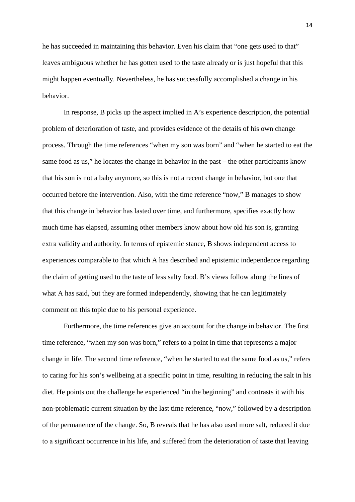he has succeeded in maintaining this behavior. Even his claim that "one gets used to that" leaves ambiguous whether he has gotten used to the taste already or is just hopeful that this might happen eventually. Nevertheless, he has successfully accomplished a change in his behavior.

In response, B picks up the aspect implied in A's experience description, the potential problem of deterioration of taste, and provides evidence of the details of his own change process. Through the time references "when my son was born" and "when he started to eat the same food as us," he locates the change in behavior in the past – the other participants know that his son is not a baby anymore, so this is not a recent change in behavior, but one that occurred before the intervention. Also, with the time reference "now," B manages to show that this change in behavior has lasted over time, and furthermore, specifies exactly how much time has elapsed, assuming other members know about how old his son is, granting extra validity and authority. In terms of epistemic stance, B shows independent access to experiences comparable to that which A has described and epistemic independence regarding the claim of getting used to the taste of less salty food. B's views follow along the lines of what A has said, but they are formed independently, showing that he can legitimately comment on this topic due to his personal experience.

Furthermore, the time references give an account for the change in behavior. The first time reference, "when my son was born," refers to a point in time that represents a major change in life. The second time reference, "when he started to eat the same food as us," refers to caring for his son's wellbeing at a specific point in time, resulting in reducing the salt in his diet. He points out the challenge he experienced "in the beginning" and contrasts it with his non-problematic current situation by the last time reference, "now," followed by a description of the permanence of the change. So, B reveals that he has also used more salt, reduced it due to a significant occurrence in his life, and suffered from the deterioration of taste that leaving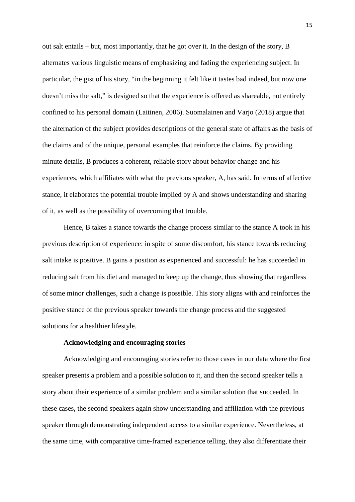out salt entails – but, most importantly, that he got over it. In the design of the story, B alternates various linguistic means of emphasizing and fading the experiencing subject. In particular, the gist of his story, "in the beginning it felt like it tastes bad indeed, but now one doesn't miss the salt," is designed so that the experience is offered as shareable, not entirely confined to his personal domain (Laitinen, 2006). Suomalainen and Varjo (2018) argue that the alternation of the subject provides descriptions of the general state of affairs as the basis of the claims and of the unique, personal examples that reinforce the claims. By providing minute details, B produces a coherent, reliable story about behavior change and his experiences, which affiliates with what the previous speaker, A, has said. In terms of affective stance, it elaborates the potential trouble implied by A and shows understanding and sharing of it, as well as the possibility of overcoming that trouble.

Hence, B takes a stance towards the change process similar to the stance A took in his previous description of experience: in spite of some discomfort, his stance towards reducing salt intake is positive. B gains a position as experienced and successful: he has succeeded in reducing salt from his diet and managed to keep up the change, thus showing that regardless of some minor challenges, such a change is possible. This story aligns with and reinforces the positive stance of the previous speaker towards the change process and the suggested solutions for a healthier lifestyle.

# **Acknowledging and encouraging stories**

Acknowledging and encouraging stories refer to those cases in our data where the first speaker presents a problem and a possible solution to it, and then the second speaker tells a story about their experience of a similar problem and a similar solution that succeeded. In these cases, the second speakers again show understanding and affiliation with the previous speaker through demonstrating independent access to a similar experience. Nevertheless, at the same time, with comparative time-framed experience telling, they also differentiate their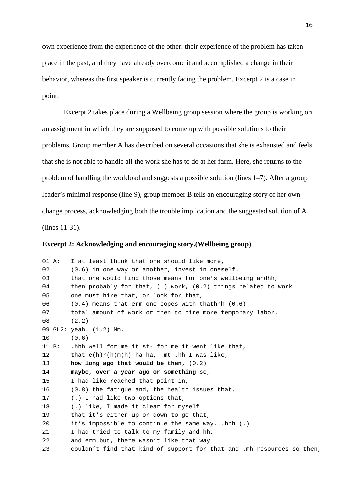own experience from the experience of the other: their experience of the problem has taken place in the past, and they have already overcome it and accomplished a change in their behavior, whereas the first speaker is currently facing the problem. Excerpt 2 is a case in point.

Excerpt 2 takes place during a Wellbeing group session where the group is working on an assignment in which they are supposed to come up with possible solutions to their problems. Group member A has described on several occasions that she is exhausted and feels that she is not able to handle all the work she has to do at her farm. Here, she returns to the problem of handling the workload and suggests a possible solution (lines 1–7). After a group leader's minimal response (line 9), group member B tells an encouraging story of her own change process, acknowledging both the trouble implication and the suggested solution of A (lines 11-31).

**Excerpt 2: Acknowledging and encouraging story.(Wellbeing group)**

```
01 A: I at least think that one should like more,
02 (0.6) in one way or another, invest in oneself.
03 that one would find those means for one's wellbeing andhh,
04 then probably for that, (.) work, (0.2) things related to work
05 one must hire that, or look for that,
06 (0.4) means that erm one copes with thathhh (0.6)
07 total amount of work or then to hire more temporary labor. 
08 (2.2)
09 GL2: yeah. (1.2) Mm.
10 (0.6)
11 B: .hhh well for me it st- for me it went like that,
12 that e(h)r(h)m(h) ha ha, .mt .hh I was like,
13 how long ago that would be then, (0.2)
14 maybe, over a year ago or something so,
15 I had like reached that point in,
16 (0.8) the fatigue and, the health issues that,
17 (.) I had like two options that,
18 (.) like, I made it clear for myself 
19 that it's either up or down to go that,
20 it's impossible to continue the same way. .hhh (.)
21 I had tried to talk to my family and hh,
22 and erm but, there wasn't like that way
23 couldn't find that kind of support for that and .mh resources so then,
```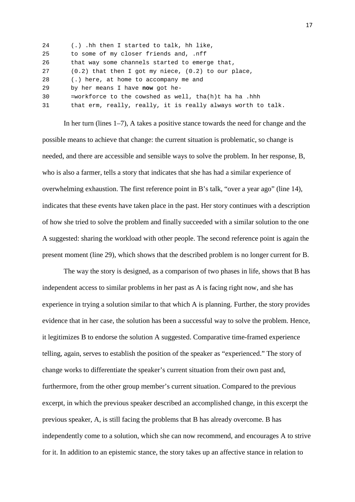| 24 | $(.)$ .hh then I started to talk, hh like,                   |
|----|--------------------------------------------------------------|
| 25 | to some of my closer friends and, .nff                       |
| 26 | that way some channels started to emerge that,               |
| 27 | $(0.2)$ that then I got my niece, $(0.2)$ to our place,      |
| 28 | $(.)$ here, at home to accompany me and                      |
| 29 | by her means I have now got he-                              |
| 30 | =workforce to the cowshed as well, tha(h)t ha ha .hhh        |
| 31 | that erm, really, really, it is really always worth to talk. |

In her turn (lines 1–7), A takes a positive stance towards the need for change and the possible means to achieve that change: the current situation is problematic, so change is needed, and there are accessible and sensible ways to solve the problem. In her response, B, who is also a farmer, tells a story that indicates that she has had a similar experience of overwhelming exhaustion. The first reference point in B's talk, "over a year ago" (line 14), indicates that these events have taken place in the past. Her story continues with a description of how she tried to solve the problem and finally succeeded with a similar solution to the one A suggested: sharing the workload with other people. The second reference point is again the present moment (line 29), which shows that the described problem is no longer current for B.

The way the story is designed, as a comparison of two phases in life, shows that B has independent access to similar problems in her past as A is facing right now, and she has experience in trying a solution similar to that which A is planning. Further, the story provides evidence that in her case, the solution has been a successful way to solve the problem. Hence, it legitimizes B to endorse the solution A suggested. Comparative time-framed experience telling, again, serves to establish the position of the speaker as "experienced." The story of change works to differentiate the speaker's current situation from their own past and, furthermore, from the other group member's current situation. Compared to the previous excerpt, in which the previous speaker described an accomplished change, in this excerpt the previous speaker, A, is still facing the problems that B has already overcome. B has independently come to a solution, which she can now recommend, and encourages A to strive for it. In addition to an epistemic stance, the story takes up an affective stance in relation to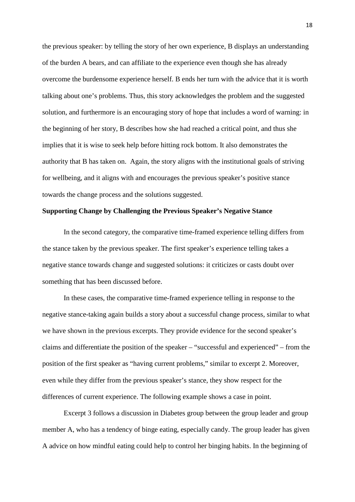the previous speaker: by telling the story of her own experience, B displays an understanding of the burden A bears, and can affiliate to the experience even though she has already overcome the burdensome experience herself. B ends her turn with the advice that it is worth talking about one's problems. Thus, this story acknowledges the problem and the suggested solution, and furthermore is an encouraging story of hope that includes a word of warning: in the beginning of her story, B describes how she had reached a critical point, and thus she implies that it is wise to seek help before hitting rock bottom. It also demonstrates the authority that B has taken on. Again, the story aligns with the institutional goals of striving for wellbeing, and it aligns with and encourages the previous speaker's positive stance towards the change process and the solutions suggested.

#### **Supporting Change by Challenging the Previous Speaker's Negative Stance**

In the second category, the comparative time-framed experience telling differs from the stance taken by the previous speaker. The first speaker's experience telling takes a negative stance towards change and suggested solutions: it criticizes or casts doubt over something that has been discussed before.

In these cases, the comparative time-framed experience telling in response to the negative stance-taking again builds a story about a successful change process, similar to what we have shown in the previous excerpts. They provide evidence for the second speaker's claims and differentiate the position of the speaker – "successful and experienced" – from the position of the first speaker as "having current problems," similar to excerpt 2. Moreover, even while they differ from the previous speaker's stance, they show respect for the differences of current experience. The following example shows a case in point.

Excerpt 3 follows a discussion in Diabetes group between the group leader and group member A, who has a tendency of binge eating, especially candy. The group leader has given A advice on how mindful eating could help to control her binging habits. In the beginning of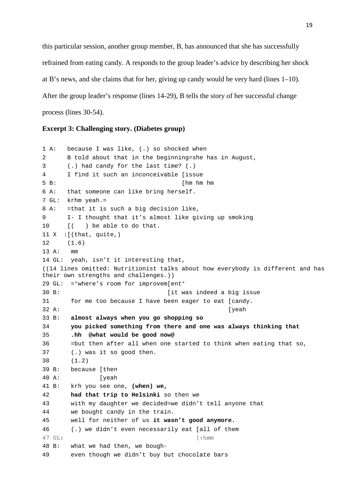this particular session, another group member, B, has announced that she has successfully refrained from eating candy. A responds to the group leader's advice by describing her shock at B's news, and she claims that for her, giving up candy would be very hard (lines 1–10). After the group leader's response (lines 14-29), B tells the story of her successful change process (lines 30-54).

#### **Excerpt 3: Challenging story. (Diabetes group)**

```
1 A: because I was like, (.) so shocked when
2 B told about that in the beginning=she has in August,
3 (.) had candy for the last time? (.)
4 I find it such an inconceivable [issue
5 B: [hm hm hm
6 A: that someone can like bring herself.
7 GL: krhm yeah.=
8 A: =that it is such a big decision like, 
9 I- I thought that it's almost like giving up smoking
10 [( ) be able to do that.
11 X : [(that, quite,)
12 (1.6)
13 A: mm
14 GL: yeah, isn't it interesting that,
((14 lines omitted: Nutritionist talks about how everybody is different and has 
their own strengths and challenges.))
29 GL: =°where's room for improvem[ent°
30 B: [it was indeed a big issue
31 for me too because I have been eager to eat [candy.
32 A: [yeah
33 B: almost always when you go shopping so 
34 you picked something from there and one was always thinking that
35 .hh @what would be good now@
36 =but then after all when one started to think when eating that so,
37 (.) was it so good then.
38 (1.2)
39 B: because [then
40 A: [yeah
41 B: krh you see one, (when) we,
42 had that trip to Helsinki so then we
43 with my daughter we decided=we didn't tell anyone that
44 we bought candy in the train.
45 well for neither of us it wasn't good anymore.
46 (.) we didn't even necessarily eat [all of them
47 GL: [↑hmm
48 B: what we had then, we bough-
49 even though we didn't buy but chocolate bars
```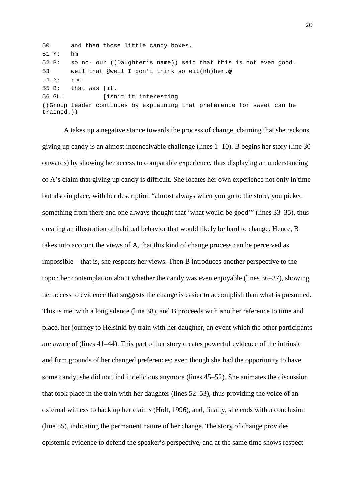```
50 and then those little candy boxes.
51 Y: hm
52 B: so no- our ((Daughter's name)) said that this is not even good.
53 well that @well I don't think so eit(hh)her.@
54 A: ↑mm
55 B: that was [it.
56 GL: [isn't it interesting
((Group leader continues by explaining that preference for sweet can be 
trained.))
```
A takes up a negative stance towards the process of change, claiming that she reckons giving up candy is an almost inconceivable challenge (lines 1–10). B begins her story (line 30 onwards) by showing her access to comparable experience, thus displaying an understanding of A's claim that giving up candy is difficult. She locates her own experience not only in time but also in place, with her description "almost always when you go to the store, you picked something from there and one always thought that 'what would be good'" (lines 33–35), thus creating an illustration of habitual behavior that would likely be hard to change. Hence, B takes into account the views of A, that this kind of change process can be perceived as impossible – that is, she respects her views. Then B introduces another perspective to the topic: her contemplation about whether the candy was even enjoyable (lines 36–37), showing her access to evidence that suggests the change is easier to accomplish than what is presumed. This is met with a long silence (line 38), and B proceeds with another reference to time and place, her journey to Helsinki by train with her daughter, an event which the other participants are aware of (lines 41–44). This part of her story creates powerful evidence of the intrinsic and firm grounds of her changed preferences: even though she had the opportunity to have some candy, she did not find it delicious anymore (lines 45–52). She animates the discussion that took place in the train with her daughter (lines 52–53), thus providing the voice of an external witness to back up her claims (Holt, 1996), and, finally, she ends with a conclusion (line 55), indicating the permanent nature of her change. The story of change provides epistemic evidence to defend the speaker's perspective, and at the same time shows respect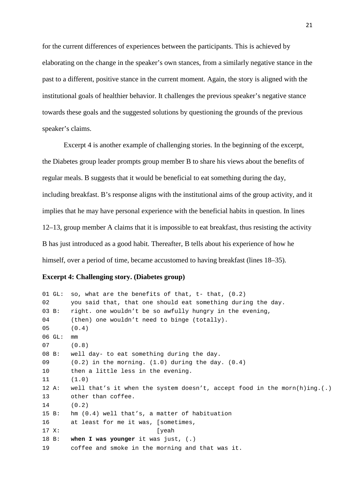for the current differences of experiences between the participants. This is achieved by elaborating on the change in the speaker's own stances, from a similarly negative stance in the past to a different, positive stance in the current moment. Again, the story is aligned with the institutional goals of healthier behavior. It challenges the previous speaker's negative stance towards these goals and the suggested solutions by questioning the grounds of the previous speaker's claims.

Excerpt 4 is another example of challenging stories. In the beginning of the excerpt, the Diabetes group leader prompts group member B to share his views about the benefits of regular meals. B suggests that it would be beneficial to eat something during the day, including breakfast. B's response aligns with the institutional aims of the group activity, and it implies that he may have personal experience with the beneficial habits in question. In lines 12–13, group member A claims that it is impossible to eat breakfast, thus resisting the activity B has just introduced as a good habit. Thereafter, B tells about his experience of how he himself, over a period of time, became accustomed to having breakfast (lines 18–35).

# **Excerpt 4: Challenging story. (Diabetes group)**

| $01$ GL:        | so, what are the benefits of that, $t-$ that, $(0.2)$                     |
|-----------------|---------------------------------------------------------------------------|
| 02              | you said that, that one should eat something during the day.              |
| $03 B$ :        | right. one wouldn't be so awfully hungry in the evening,                  |
| 04              | (then) one wouldn't need to binge (totally).                              |
| 05              | (0.4)                                                                     |
| $06$ GL:        | mm                                                                        |
| 07              | (0.8)                                                                     |
| 08 B:           | well day- to eat something during the day.                                |
| 09              | $(0.2)$ in the morning. $(1.0)$ during the day. $(0.4)$                   |
| 10              | then a little less in the evening.                                        |
| 11              | (1.0)                                                                     |
| $12 \text{ A}:$ | well that's it when the system doesn't, accept food in the morn(h)ing.(.) |
| 13              | other than coffee.                                                        |
| 14              | (0.2)                                                                     |
| $15 B$ :        | $\text{hm}$ (0.4) well that's, a matter of habituation                    |
| 16              | at least for me it was, [sometimes,                                       |
| $17 \times:$    | [yeah                                                                     |
| 18 B:           | when I was younger it was just, $(.)$                                     |
| 19              | coffee and smoke in the morning and that was it.                          |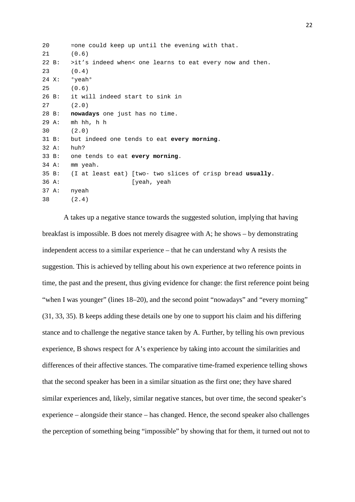20 =one could keep up until the evening with that. 21 (0.6) 22 B: >it's indeed when< one learns to eat every now and then. 23 (0.4) 24 X: °yeah° 25 (0.6) 26 B: it will indeed start to sink in 27 (2.0) 28 B: **nowadays** one just has no time. 29 A: mh hh, h h 30 (2.0) 31 B: but indeed one tends to eat **every morning**. 32 A: huh? 33 B: one tends to eat **every morning**. 34 A: mm yeah. 35 B: (I at least eat) [two- two slices of crisp bread **usually**. 36 A: [yeah, yeah 37 A: nyeah 38 (2.4)

A takes up a negative stance towards the suggested solution, implying that having breakfast is impossible. B does not merely disagree with A; he shows – by demonstrating independent access to a similar experience – that he can understand why A resists the suggestion. This is achieved by telling about his own experience at two reference points in time, the past and the present, thus giving evidence for change: the first reference point being "when I was younger" (lines 18–20), and the second point "nowadays" and "every morning" (31, 33, 35). B keeps adding these details one by one to support his claim and his differing stance and to challenge the negative stance taken by A. Further, by telling his own previous experience, B shows respect for A's experience by taking into account the similarities and differences of their affective stances. The comparative time-framed experience telling shows that the second speaker has been in a similar situation as the first one; they have shared similar experiences and, likely, similar negative stances, but over time, the second speaker's experience – alongside their stance – has changed. Hence, the second speaker also challenges the perception of something being "impossible" by showing that for them, it turned out not to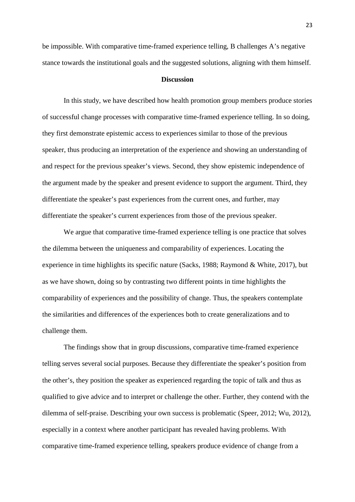be impossible. With comparative time-framed experience telling, B challenges A's negative stance towards the institutional goals and the suggested solutions, aligning with them himself.

#### **Discussion**

In this study, we have described how health promotion group members produce stories of successful change processes with comparative time-framed experience telling. In so doing, they first demonstrate epistemic access to experiences similar to those of the previous speaker, thus producing an interpretation of the experience and showing an understanding of and respect for the previous speaker's views. Second, they show epistemic independence of the argument made by the speaker and present evidence to support the argument. Third, they differentiate the speaker's past experiences from the current ones, and further, may differentiate the speaker's current experiences from those of the previous speaker.

We argue that comparative time-framed experience telling is one practice that solves the dilemma between the uniqueness and comparability of experiences. Locating the experience in time highlights its specific nature (Sacks, 1988; Raymond & White, 2017), but as we have shown, doing so by contrasting two different points in time highlights the comparability of experiences and the possibility of change. Thus, the speakers contemplate the similarities and differences of the experiences both to create generalizations and to challenge them.

The findings show that in group discussions, comparative time-framed experience telling serves several social purposes. Because they differentiate the speaker's position from the other's, they position the speaker as experienced regarding the topic of talk and thus as qualified to give advice and to interpret or challenge the other. Further, they contend with the dilemma of self-praise. Describing your own success is problematic (Speer, 2012; Wu, 2012), especially in a context where another participant has revealed having problems. With comparative time-framed experience telling, speakers produce evidence of change from a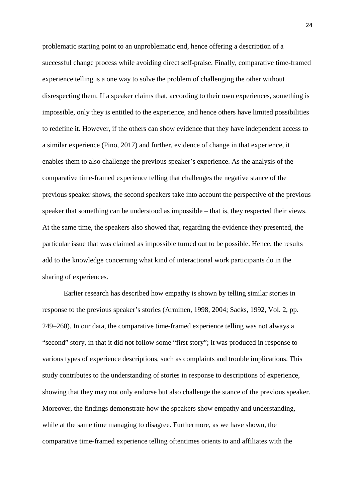problematic starting point to an unproblematic end, hence offering a description of a successful change process while avoiding direct self-praise. Finally, comparative time-framed experience telling is a one way to solve the problem of challenging the other without disrespecting them. If a speaker claims that, according to their own experiences, something is impossible, only they is entitled to the experience, and hence others have limited possibilities to redefine it. However, if the others can show evidence that they have independent access to a similar experience (Pino, 2017) and further, evidence of change in that experience, it enables them to also challenge the previous speaker's experience. As the analysis of the comparative time-framed experience telling that challenges the negative stance of the previous speaker shows, the second speakers take into account the perspective of the previous speaker that something can be understood as impossible – that is, they respected their views. At the same time, the speakers also showed that, regarding the evidence they presented, the particular issue that was claimed as impossible turned out to be possible. Hence, the results add to the knowledge concerning what kind of interactional work participants do in the sharing of experiences.

Earlier research has described how empathy is shown by telling similar stories in response to the previous speaker's stories (Arminen, 1998, 2004; Sacks, 1992, Vol. 2, pp. 249–260). In our data, the comparative time-framed experience telling was not always a "second" story, in that it did not follow some "first story"; it was produced in response to various types of experience descriptions, such as complaints and trouble implications. This study contributes to the understanding of stories in response to descriptions of experience, showing that they may not only endorse but also challenge the stance of the previous speaker. Moreover, the findings demonstrate how the speakers show empathy and understanding, while at the same time managing to disagree. Furthermore, as we have shown*,* the comparative time-framed experience telling oftentimes orients to and affiliates with the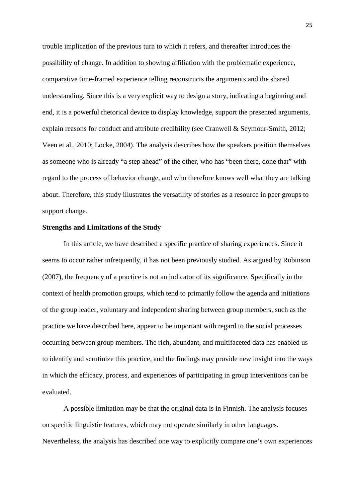trouble implication of the previous turn to which it refers, and thereafter introduces the possibility of change. In addition to showing affiliation with the problematic experience, comparative time-framed experience telling reconstructs the arguments and the shared understanding. Since this is a very explicit way to design a story, indicating a beginning and end, it is a powerful rhetorical device to display knowledge, support the presented arguments, explain reasons for conduct and attribute credibility (see Cranwell & Seymour-Smith, 2012; Veen et al., 2010; Locke, 2004). The analysis describes how the speakers position themselves as someone who is already "a step ahead" of the other, who has "been there, done that" with regard to the process of behavior change, and who therefore knows well what they are talking about. Therefore, this study illustrates the versatility of stories as a resource in peer groups to support change.

#### **Strengths and Limitations of the Study**

In this article, we have described a specific practice of sharing experiences. Since it seems to occur rather infrequently, it has not been previously studied. As argued by Robinson (2007), the frequency of a practice is not an indicator of its significance. Specifically in the context of health promotion groups, which tend to primarily follow the agenda and initiations of the group leader, voluntary and independent sharing between group members, such as the practice we have described here, appear to be important with regard to the social processes occurring between group members. The rich, abundant, and multifaceted data has enabled us to identify and scrutinize this practice, and the findings may provide new insight into the ways in which the efficacy, process, and experiences of participating in group interventions can be evaluated.

A possible limitation may be that the original data is in Finnish. The analysis focuses on specific linguistic features, which may not operate similarly in other languages. Nevertheless, the analysis has described one way to explicitly compare one's own experiences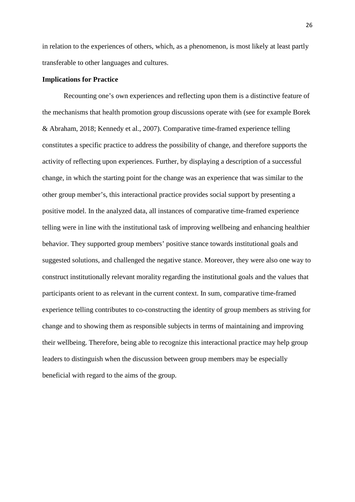in relation to the experiences of others, which, as a phenomenon, is most likely at least partly transferable to other languages and cultures.

#### **Implications for Practice**

Recounting one's own experiences and reflecting upon them is a distinctive feature of the mechanisms that health promotion group discussions operate with (see for example Borek & Abraham, 2018; Kennedy et al., 2007). Comparative time-framed experience telling constitutes a specific practice to address the possibility of change, and therefore supports the activity of reflecting upon experiences. Further, by displaying a description of a successful change, in which the starting point for the change was an experience that was similar to the other group member's, this interactional practice provides social support by presenting a positive model. In the analyzed data, all instances of comparative time-framed experience telling were in line with the institutional task of improving wellbeing and enhancing healthier behavior. They supported group members' positive stance towards institutional goals and suggested solutions, and challenged the negative stance. Moreover, they were also one way to construct institutionally relevant morality regarding the institutional goals and the values that participants orient to as relevant in the current context. In sum, comparative time-framed experience telling contributes to co-constructing the identity of group members as striving for change and to showing them as responsible subjects in terms of maintaining and improving their wellbeing. Therefore, being able to recognize this interactional practice may help group leaders to distinguish when the discussion between group members may be especially beneficial with regard to the aims of the group.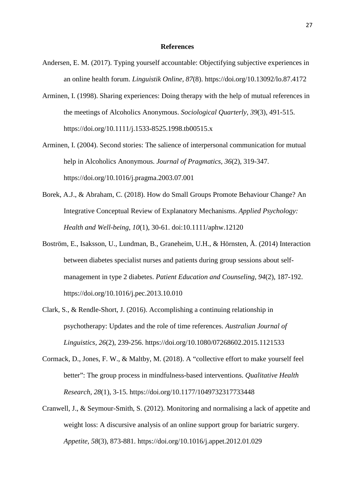#### **References**

- Andersen, E. M. (2017). Typing yourself accountable: Objectifying subjective experiences in an online health forum. *Linguistik Online, 87*(8). https://doi.org/10.13092/lo.87.4172
- Arminen, I. (1998). Sharing experiences: Doing therapy with the help of mutual references in the meetings of Alcoholics Anonymous. *Sociological Quarterly, 39*(3), 491-515. https://doi.org/10.1111/j.1533-8525.1998.tb00515.x
- Arminen, I. (2004). Second stories: The salience of interpersonal communication for mutual help in Alcoholics Anonymous. *Journal of Pragmatics, 36*(2), 319-347. https://doi.org/10.1016/j.pragma.2003.07.001
- Borek, A.J., & Abraham, C. (2018). How do Small Groups Promote Behaviour Change? An Integrative Conceptual Review of Explanatory Mechanisms. *Applied Psychology: Health and Well-being*, *10*(1), 30-61. doi:10.1111/aphw.12120
- Boström, E., Isaksson, U., Lundman, B., Graneheim, U.H., & Hörnsten, Å. (2014) Interaction between diabetes specialist nurses and patients during group sessions about selfmanagement in type 2 diabetes. *Patient Education and Counseling*, *94*(2), 187-192. https://doi.org/10.1016/j.pec.2013.10.010
- Clark, S., & Rendle-Short, J. (2016). Accomplishing a continuing relationship in psychotherapy: Updates and the role of time references. *Australian Journal of Linguistics, 26*(2), 239-256. https://doi.org/10.1080/07268602.2015.1121533
- Cormack, D., Jones, F. W., & Maltby, M. (2018). A "collective effort to make yourself feel better": The group process in mindfulness-based interventions. *Qualitative Health Research*, *28*(1), 3-15. https://doi.org/10.1177/1049732317733448
- Cranwell, J., & Seymour-Smith, S. (2012). Monitoring and normalising a lack of appetite and weight loss: A discursive analysis of an online support group for bariatric surgery. *Appetite, 58*(3), 873-881. https://doi.org/10.1016/j.appet.2012.01.029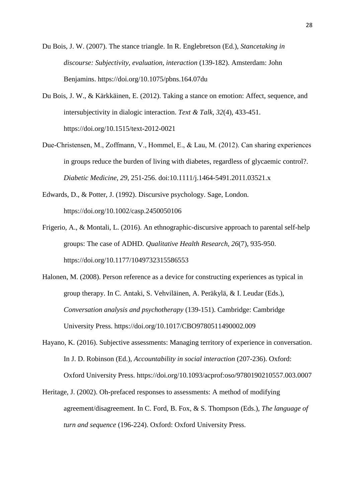Du Bois, J. W. (2007). The stance triangle. In R. Englebretson (Ed.), *Stancetaking in discourse: Subjectivity, evaluation, interaction* (139-182). Amsterdam: John Benjamins. https://doi.org/10.1075/pbns.164.07du

- Du Bois, J. W., & Kärkkäinen, E. (2012). Taking a stance on emotion: Affect, sequence, and intersubjectivity in dialogic interaction. *Text & Talk, 32*(4), 433-451. https://doi.org/10.1515/text-2012-0021
- Due‐Christensen, M., Zoffmann, V., Hommel, E., & Lau, M. (2012). Can sharing experiences in groups reduce the burden of living with diabetes, regardless of glycaemic control?. *Diabetic Medicine*, *29*, 251-256. doi:10.1111/j.1464-5491.2011.03521.x
- Edwards, D., & Potter, J. (1992). Discursive psychology. Sage, London. https://doi.org/10.1002/casp.2450050106
- Frigerio, A., & Montali, L. (2016). An ethnographic-discursive approach to parental self-help groups: The case of ADHD. *Qualitative Health Research*, *26*(7), 935-950. https://doi.org/10.1177/1049732315586553
- Halonen, M. (2008). Person reference as a device for constructing experiences as typical in group therapy. In C. Antaki, S. Vehviläinen, A. Peräkylä, & I. Leudar (Eds.), *Conversation analysis and psychotherapy* (139-151). Cambridge: Cambridge University Press. https://doi.org/10.1017/CBO9780511490002.009
- Hayano, K. (2016). Subjective assessments: Managing territory of experience in conversation. In J. D. Robinson (Ed.), *Accountability in social interaction* (207-236). Oxford: Oxford University Press. https://doi.org/10.1093/acprof:oso/9780190210557.003.0007
- Heritage, J. (2002). Oh-prefaced responses to assessments: A method of modifying agreement/disagreement. In C. Ford, B. Fox, & S. Thompson (Eds.), *The language of turn and sequence* (196-224). Oxford: Oxford University Press.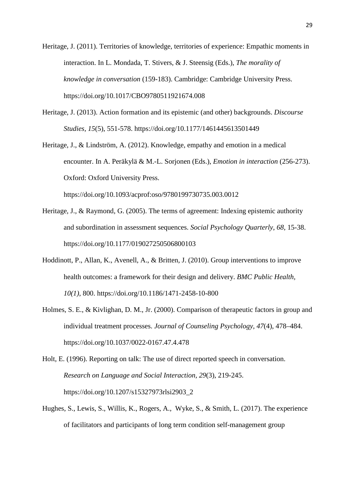Heritage, J. (2011). Territories of knowledge, territories of experience: Empathic moments in interaction. In L. Mondada, T. Stivers, & J. Steensig (Eds.), *The morality of knowledge in conversation* (159-183). Cambridge: Cambridge University Press. https://doi.org/10.1017/CBO9780511921674.008

- Heritage, J. (2013). Action formation and its epistemic (and other) backgrounds. *Discourse Studies, 15*(5), 551-578. https://doi.org/10.1177/1461445613501449
- Heritage, J., & Lindström, A. (2012). Knowledge, empathy and emotion in a medical encounter. In A. Peräkylä & M.-L. Sorjonen (Eds.), *Emotion in interaction* (256-273). Oxford: Oxford University Press. https://doi.org/10.1093/acprof:oso/9780199730735.003.0012
- Heritage, J., & Raymond, G. (2005). The terms of agreement: Indexing epistemic authority and subordination in assessment sequences. *Social Psychology Quarterly*, *68*, 15-38. https://doi.org/10.1177/019027250506800103
- Hoddinott, P., Allan, K., Avenell, A., & Britten, J. (2010). Group interventions to improve health outcomes: a framework for their design and delivery. *BMC Public Health, 10(1)*, 800. https://doi.org/10.1186/1471-2458-10-800
- Holmes, S. E., & Kivlighan, D. M., Jr. (2000). Comparison of therapeutic factors in group and individual treatment processes. *Journal of Counseling Psychology, 47*(4), 478–484. https://doi.org/10.1037/0022-0167.47.4.478
- Holt, E. (1996). Reporting on talk: The use of direct reported speech in conversation. *Research on Language and Social Interaction, 29*(3), 219-245. https://doi.org/10.1207/s15327973rlsi2903\_2
- Hughes, S., Lewis, S., Willis, K., Rogers, A., Wyke, S., & Smith, L. (2017). The experience of facilitators and participants of long term condition self-management group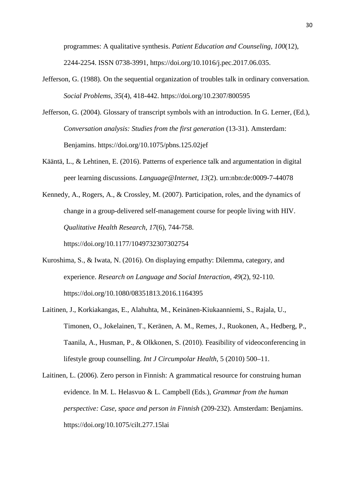programmes: A qualitative synthesis. *Patient Education and Counseling*, *100*(12), 2244-2254. ISSN 0738-3991, https://doi.org/10.1016/j.pec.2017.06.035.

- Jefferson, G. (1988). On the sequential organization of troubles talk in ordinary conversation. *Social Problems*, *35*(4), 418-442. https://doi.org/10.2307/800595
- Jefferson, G. (2004). Glossary of transcript symbols with an introduction. In G. Lerner, (Ed.), *Conversation analysis: Studies from the first generation* (13-31). Amsterdam: Benjamins. https://doi.org/10.1075/pbns.125.02jef
- Kääntä, L., & Lehtinen, E. (2016). Patterns of experience talk and argumentation in digital peer learning discussions. *Language@Internet, 13*(2). urn:nbn:de:0009-7-44078

Kennedy, A., Rogers, A., & Crossley, M. (2007). Participation, roles, and the dynamics of change in a group-delivered self-management course for people living with HIV. *Qualitative Health Research*, *17*(6), 744-758. https://doi.org/10.1177/1049732307302754

- Kuroshima, S., & Iwata, N. (2016). On displaying empathy: Dilemma, category, and experience. *Research on Language and Social Interaction, 49*(2), 92-110. https://doi.org/10.1080/08351813.2016.1164395
- Laitinen, J., Korkiakangas, E., Alahuhta, M., Keinänen-Kiukaanniemi, S., Rajala, U., Timonen, O., Jokelainen, T., Keränen, A. M., Remes, J., Ruokonen, A., Hedberg, P., Taanila, A., Husman, P., & Olkkonen, S. (2010). Feasibility of videoconferencing in lifestyle group counselling. *Int J Circumpolar Health,* 5 (2010) 500–11.
- Laitinen, L. (2006). Zero person in Finnish: A grammatical resource for construing human evidence. In M. L. Helasvuo & L. Campbell (Eds.), *Grammar from the human perspective: Case, space and person in Finnish* (209-232). Amsterdam: Benjamins. https://doi.org/10.1075/cilt.277.15lai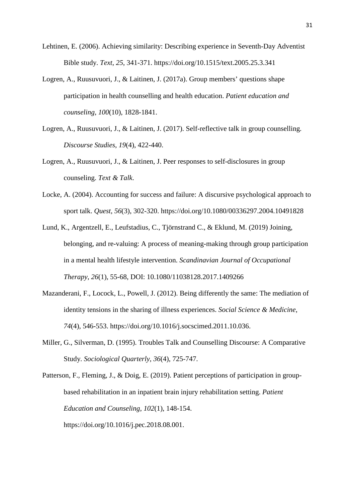- Lehtinen, E. (2006). Achieving similarity: Describing experience in Seventh-Day Adventist Bible study. *Text*, *25*, 341-371. https://doi.org/10.1515/text.2005.25.3.341
- Logren, A., Ruusuvuori, J., & Laitinen, J. (2017a). Group members' questions shape participation in health counselling and health education. *Patient education and counseling*, *100*(10), 1828-1841.
- Logren, A., Ruusuvuori, J., & Laitinen, J. (2017). Self-reflective talk in group counselling. *Discourse Studies*, *19*(4), 422-440.
- Logren, A., Ruusuvuori, J., & Laitinen, J. Peer responses to self-disclosures in group counseling. *Text & Talk*.
- Locke, A. (2004). Accounting for success and failure: A discursive psychological approach to sport talk. *Quest*, *56*(3), 302-320. https://doi.org/10.1080/00336297.2004.10491828
- Lund, K., Argentzell, E., Leufstadius, C., Tjörnstrand C., & Eklund, M. (2019) Joining, belonging, and re-valuing: A process of meaning-making through group participation in a mental health lifestyle intervention. *Scandinavian Journal of Occupational Therapy*, *26*(1), 55-68, DOI: 10.1080/11038128.2017.1409266
- Mazanderani, F., Locock, L., Powell, J. (2012). Being differently the same: The mediation of identity tensions in the sharing of illness experiences. *Social Science & Medicine*, *74*(4), 546-553. https://doi.org/10.1016/j.socscimed.2011.10.036.
- Miller, G., Silverman, D. (1995). Troubles Talk and Counselling Discourse: A Comparative Study. *Sociological Quarterly*, *36*(4), 725-747.

Patterson, F., Fleming, J., & Doig, E. (2019). Patient perceptions of participation in groupbased rehabilitation in an inpatient brain injury rehabilitation setting. *Patient Education and Counseling*, *102*(1), 148-154. https://doi.org/10.1016/j.pec.2018.08.001.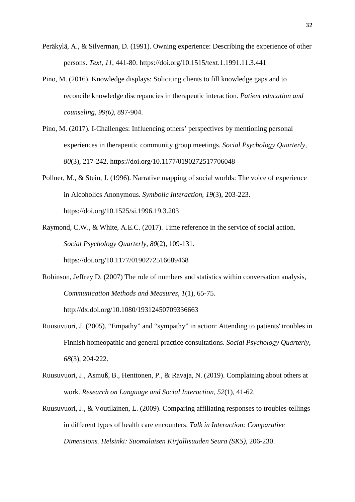- Peräkylä, A., & Silverman, D. (1991). Owning experience: Describing the experience of other persons. *Text*, *11*, 441-80. https://doi.org/10.1515/text.1.1991.11.3.441
- Pino, M. (2016). Knowledge displays: Soliciting clients to fill knowledge gaps and to reconcile knowledge discrepancies in therapeutic interaction. *Patient education and counseling, 99(6)*, 897-904.
- Pino, M. (2017). I-Challenges: Influencing others' perspectives by mentioning personal experiences in therapeutic community group meetings. *Social Psychology Quarterly, 80*(3), 217-242. https://doi.org/10.1177/0190272517706048
- Pollner, M., & Stein, J. (1996). Narrative mapping of social worlds: The voice of experience in Alcoholics Anonymous. *Symbolic Interaction, 19*(3), 203-223. https://doi.org/10.1525/si.1996.19.3.203
- Raymond, C.W., & White, A.E.C. (2017). Time reference in the service of social action. *Social Psychology Quarterly, 80*(2), 109-131. https://doi.org/10.1177/0190272516689468
- Robinson, Jeffrey D. (2007) The role of numbers and statistics within conversation analysis, *Communication Methods and Measures*, *1*(1), 65-75.

http://dx.doi.org/10.1080/19312450709336663

- Ruusuvuori, J. (2005). "Empathy" and "sympathy" in action: Attending to patients' troubles in Finnish homeopathic and general practice consultations. *Social Psychology Quarterly*, *68*(3), 204-222.
- Ruusuvuori, J., Asmuß, B., Henttonen, P., & Ravaja, N. (2019). Complaining about others at work. *Research on Language and Social Interaction*, *52*(1), 41-62.
- Ruusuvuori, J., & Voutilainen, L. (2009). Comparing affiliating responses to troubles-tellings in different types of health care encounters. *Talk in Interaction: Comparative Dimensions. Helsinki: Suomalaisen Kirjallisuuden Seura (SKS)*, 206-230.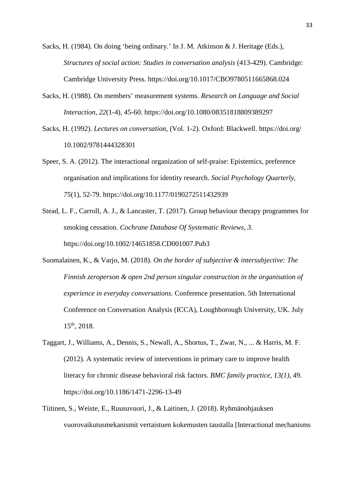- Sacks, H. (1984). On doing 'being ordinary.' In J. M. Atkinson & J. Heritage (Eds.), *Structures of social action: Studies in conversation analysis* (413-429). Cambridge: Cambridge University Press. https://doi.org/10.1017/CBO9780511665868.024
- Sacks, H. (1988). On members' measurement systems. *Research on Language and Social Interaction, 22*(1-4), 45-60. https://doi.org/10.1080/08351818809389297
- Sacks, H. (1992). *Lectures on conversation,* (Vol. 1-2). Oxford: Blackwell. https://doi.org/ 10.1002/9781444328301
- Speer, S. A. (2012). The interactional organization of self-praise: Epistemics, preference organisation and implications for identity research. *Social Psychology Quarterly, 75*(1), 52-79. https://doi.org/10.1177/0190272511432939
- Stead, L. F., Carroll, A. J., & Lancaster, T. (2017). Group behaviour therapy programmes for smoking cessation. *Cochrane Database Of Systematic Reviews*, *3*. https://doi.org/10.1002/14651858.CD001007.Pub3
- Suomalainen, K., & Varjo, M. (2018). *On the border of subjective & intersubjective: The Finnish zeroperson & open 2nd person singular construction in the organisation of experience in everyday conversations.* Conference presentation. 5th International Conference on Conversation Analysis (ICCA), Loughborough University, UK. July 15th, 2018.
- Taggart, J., Williams, A., Dennis, S., Newall, A., Shortus, T., Zwar, N., ... & Harris, M. F. (2012). A systematic review of interventions in primary care to improve health literacy for chronic disease behavioral risk factors. *BMC family practice, 13(1),* 49. https://doi.org/10.1186/1471-2296-13-49
- Tiitinen, S., Weiste, E., Ruusuvuori, J., & Laitinen, J. (2018). Ryhmänohjauksen vuorovaikutusmekanismit vertaistuen kokemusten taustalla [Interactional mechanisms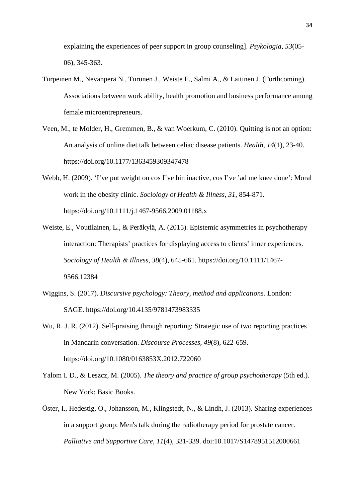explaining the experiences of peer support in group counseling]. *Psykologia*, *53*(05- 06), 345-363.

- Turpeinen M., Nevanperä N., Turunen J., Weiste E., Salmi A., & Laitinen J. (Forthcoming). Associations between work ability, health promotion and business performance among female microentrepreneurs.
- Veen, M., te Molder, H., Gremmen, B., & van Woerkum, C. (2010). Quitting is not an option: An analysis of online diet talk between celiac disease patients. *Health, 14*(1), 23-40. https://doi.org/10.1177/1363459309347478
- Webb, H. (2009). 'I've put weight on cos I've bin inactive, cos I've 'ad me knee done': Moral work in the obesity clinic. *Sociology of Health & Illness*, *31*, 854-871. https://doi.org/10.1111/j.1467-9566.2009.01188.x
- Weiste, E., Voutilainen, L., & Peräkylä, A. (2015). Epistemic asymmetries in psychotherapy interaction: Therapists' practices for displaying access to clients' inner experiences. *Sociology of Health & Illness, 38*(4), 645-661. https://doi.org/10.1111/1467- 9566.12384
- Wiggins, S. (2017). *Discursive psychology: Theory, method and applications.* London: SAGE. https://doi.org/10.4135/9781473983335
- Wu, R. J. R. (2012). Self-praising through reporting: Strategic use of two reporting practices in Mandarin conversation. *Discourse Processes, 49*(8), 622-659. https://doi.org/10.1080/0163853X.2012.722060
- Yalom I. D., & Leszcz, M. (2005). *The theory and practice of group psychotherapy* (5th ed.). New York: Basic Books.
- Öster, I., Hedestig, O., Johansson, M., Klingstedt, N., & Lindh, J. (2013). Sharing experiences in a support group: Men's talk during the radiotherapy period for prostate cancer. *Palliative and Supportive Care*, *11*(4), 331-339. doi:10.1017/S1478951512000661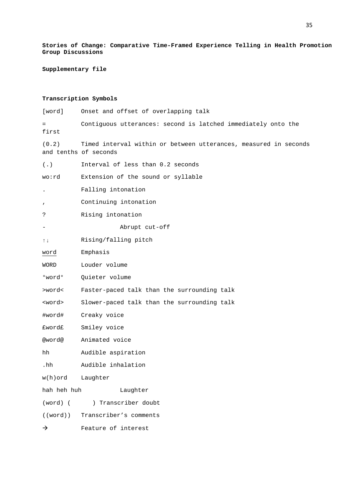**Stories of Change: Comparative Time-Framed Experience Telling in Health Promotion Group Discussions**

**Supplementary file**

#### **Transcription Symbols**

| [word]                  | Onset and offset of overlapping talk                                                      |
|-------------------------|-------------------------------------------------------------------------------------------|
| $=$<br>first            | Contiguous utterances: second is latched immediately onto the                             |
| (0.2)                   | Timed interval within or between utterances, measured in seconds<br>and tenths of seconds |
| $(\cdot)$               | Interval of less than 0.2 seconds                                                         |
| wo:rd                   | Extension of the sound or syllable                                                        |
|                         | Falling intonation                                                                        |
| $\mathbf{r}$            | Continuing intonation                                                                     |
| ?                       | Rising intonation                                                                         |
|                         | Abrupt cut-off                                                                            |
| ↑↓                      | Rising/falling pitch                                                                      |
| word                    | Emphasis                                                                                  |
| WORD                    | Louder volume                                                                             |
| °word°                  | Quieter volume                                                                            |
| >word<                  | Faster-paced talk than the surrounding talk                                               |
| <word></word>           | Slower-paced talk than the surrounding talk                                               |
| #word#                  | Creaky voice                                                                              |
| £word£                  | Smiley voice                                                                              |
| @word@                  | Animated voice                                                                            |
| hh                      | Audible aspiration                                                                        |
| .hh                     | Audible inhalation                                                                        |
| w(h)ord                 | Laughter                                                                                  |
| hah heh huh<br>Laughter |                                                                                           |
| (word) (                | ) Transcriber doubt                                                                       |
| ((word))                | Transcriber's comments                                                                    |
| $\rightarrow$           | Feature of interest                                                                       |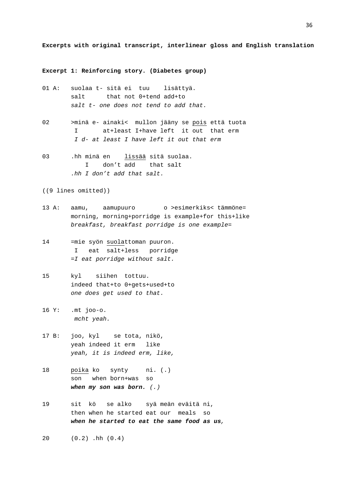**Excerpt 1: Reinforcing story. (Diabetes group)**

- 01 A: suolaa t- sitä ei tuu lisättyä. salt that not 0+tend add+to *salt t- one does not tend to add that.*
- 02 >minä e- ainaki< mullon jääny se pois että tuota I at+least I+have left it out that erm *I d- at least I have left it out that erm*
- 03 .hh minä en lissää sitä suolaa. I don't add that salt *.hh I don't add that salt.*
- ((9 lines omitted))
- 13 A: aamu, aamupuuro o >esimerkiks< tämmöne= morning, morning+porridge is example+for this+like  *breakfast, breakfast porridge is one example=*
- 14 =mie syön suolattoman puuron. I eat salt+less porridge  *=I eat porridge without salt.*
- 15 kyl siihen tottuu. indeed that+to 0+gets+used+to  *one does get used to that.*
- 16 Y: .mt joo-o.  *mcht yeah.*
- 17 B: joo, kyl se tota, nikö, yeah indeed it erm like  *yeah, it is indeed erm, like,*
- 18 poika ko synty ni. (.) son when born+was so  *when my son was born. (.)*
- 19 sit kö se alko syä meän eväitä ni, then when he started eat our meals so  *when he started to eat the same food as us,*

20 (0.2) .hh (0.4)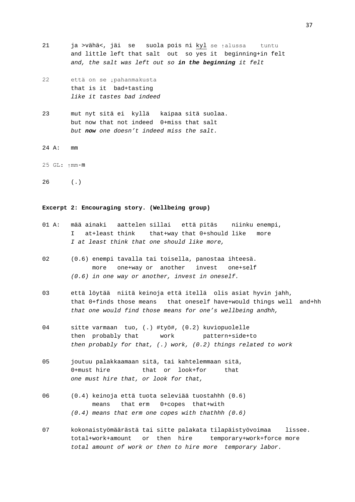- 21 ja >vähä<, jäi se suola pois ni kyl se ↑alussa tuntu and little left that salt out so yes it beginning+in felt  *and, the salt was left out so in the beginning it felt*
- 22 että on se ↓pahanmakusta that is it bad+tasting  *like it tastes bad indeed*
- 23 mut nyt sitä ei kyllä kaipaa sitä suolaa. but now that not indeed 0+miss that salt  *but now one doesn't indeed miss the salt.*
- 24 A: mm
- 25 GL: ↑mm-m
- 26 (.)

#### **Excerpt 2: Encouraging story. (Wellbeing group)**

- 01 A: mää ainaki aattelen sillai että pitäs niinku enempi, I at+least think that+way that 0+should like more  *I at least think that one should like more,*
- 02 (0.6) enempi tavalla tai toisella, panostaa ihteesä. more one+way or another invest one+self  *(0.6) in one way or another, invest in oneself.*
- 03 että löytää niitä keinoja että itellä olis asiat hyvin jahh, that 0+finds those means that oneself have+would things well and+hh  *that one would find those means for one's wellbeing andhh,*
- 04 sitte varmaan tuo, (.) #työ#, (0.2) kuviopuolelle then probably that work pattern+side+to  *then probably for that, (.) work, (0.2) things related to work*
- 05 joutuu palakkaamaan sitä, tai kahtelemmaan sitä, 0+must hire that or look+for that  *one must hire that, or look for that,*
- 06 (0.4) keinoja että tuota seleviää tuostahhh (0.6) means that erm 0+copes that+with  *(0.4) means that erm one copes with thathhh (0.6)*
- 07 kokonaistyömäärästä tai sitte palakata tilapäistyövoimaa lissee. total+work+amount or then hire temporary+work+force more  *total amount of work or then to hire more temporary labor.*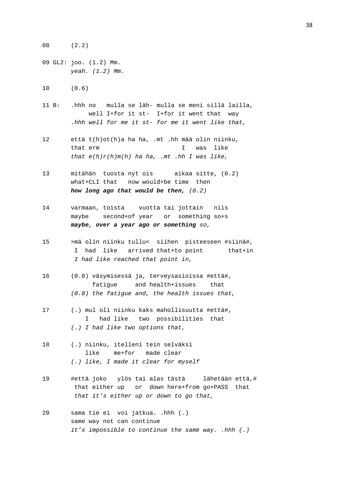- 08 (2.2)
- 09 GL2: joo. (1.2) Mm.  *yeah. (1.2) Mm.*

10 (0.6)

- 11 B: .hhh no mulla se läh- mulla se meni sillä lailla, well I+for it st- I+for it went that way  *.hhh well for me it st- for me it went like that,*
- 12 että t(h)ot(h)a ha ha, .mt .hh mää olin niinku, that erm  $I$  was like  *that e(h)r(h)m(h) ha ha, .mt .hh I was like,*
- 13 mitähän tuosta nyt ois aikaa sitte, (0.2) what+CLI that now would+be time then  *how long ago that would be then, (0.2)*
- 14 varmaan, toista vuotta tai jottain niis maybe second+of year or something so+s  *maybe, over a year ago or something so,*
- 15 >mä olin niinku tullu< siihen pisteeseen #siinä#, I had like arrived that+to point that+in  *I had like reached that point in,*
- 16 (0.8) väsymisessä ja, terveysasioissa #että#, fatigue and health+issues that  *(0.8) the fatigue and, the health issues that,*
- 17 (.) mul oli niinku kaks mahollisuutta #että#, I had like two possibilities that  *(.) I had like two options that,*
- 18 (.) niinku, itelleni tein selväksi like me+for made clear  *(.) like, I made it clear for myself*
- 19 #että joko ylös tai alas tästä lähetään että,# that either up or down here+from go+PASS that  *that it's either up or down to go that,*
- 20 sama tie ei voi jatkua. .hhh (.) same way not can continue  *it's impossible to continue the same way. .hhh (.)*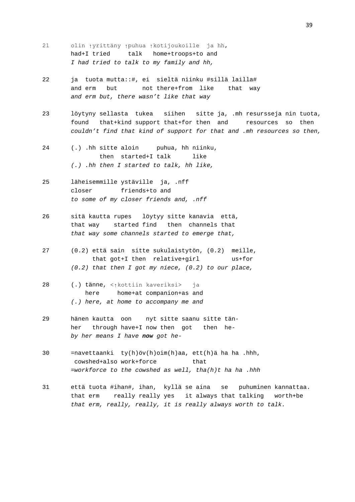- 21 olin ↑yrittäny ↑puhua ↑kotijoukoille ja hh, had+I tried talk home+troops+to and  *I had tried to talk to my family and hh,*
- 22 ja tuota mutta::#, ei sieltä niinku #sillä lailla# and erm but not there+from like that way  *and erm but, there wasn't like that way*
- 23 löytyny sellasta tukea siihen sitte ja, .mh resursseja nin tuota, found that+kind support that+for then and resources so then  *couldn't find that kind of support for that and .mh resources so then,*
- 24 (.) .hh sitte aloin puhua, hh niinku, then started+I talk like  *(.) .hh then I started to talk, hh like,*
- 25 läheisemmille ystäville ja, .nff closer friends+to and  *to some of my closer friends and, .nff*
- 26 sitä kautta rupes löytyy sitte kanavia että, that way started find then channels that  *that way some channels started to emerge that,*
- 27 (0.2) että sain sitte sukulaistytön, (0.2) meille, that got+I then relative+girl us+for  *(0.2) that then I got my niece, (0.2) to our place,*
- 28 (.) tänne, <↑kottiin kaveriksi> ja here home+at companion+as and  *(.) here, at home to accompany me and*
- 29 hänen kautta oon nyt sitte saanu sitte tän her through have+I now then got then he  *by her means I have now got he-*
- 30 =navettaanki ty(h)öv(h)oim(h)aa, ett(h)ä ha ha .hhh, cowshed+also work+force that  *=workforce to the cowshed as well, tha(h)t ha ha .hhh*
- 31 että tuota #ihan#, ihan, kyllä se aina se puhuminen kannattaa. that erm really really yes it always that talking worth+be  *that erm, really, really, it is really always worth to talk.*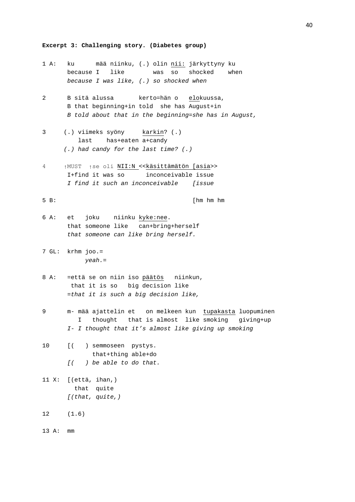#### **Excerpt 3: Challenging story. (Diabetes group)**

- 1 A: ku mää niinku, (.) olin nii: järkyttyny ku because I like was so shocked when  *because I was like, (.) so shocked when* 2 B sitä alussa kerto=hän o elokuussa, B that beginning+in told she has August+in  *B told about that in the beginning=she has in August,* 3 (.) viimeks syöny karkin? (.) last has+eaten a+candy  *(.) had candy for the last time? (.)* 4 ↑MUST ↑se oli NII:N <<käsittämätön [asia>> I+find it was so inconceivable issue  *I find it such an inconceivable [issue* 5 B: [hm hm hm 6 A: et joku niinku kyke:nee. that someone like can+bring+herself  *that someone can like bring herself.* 7 GL: krhm joo.=  *yeah.=* 8 A: =että se on niin iso päätös niinkun, that it is so big decision like  *=that it is such a big decision like,*  9 m- mää ajattelin et on melkeen kun tupakasta luopuminen I thought that is almost like smoking giving+up  *I- I thought that it's almost like giving up smoking* 10 [( ) semmoseen pystys. that+thing able+do  *[( ) be able to do that.* 11 X: [(että, ihan,) that quite  *[(that, quite,)*
- 12 (1.6)

```
13 A: mm
```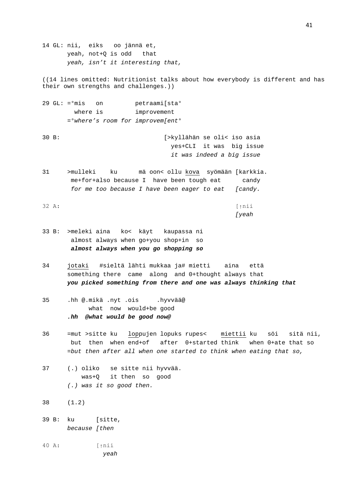- 14 GL: nii, eiks oo jännä et, yeah, not+Q is odd that  *yeah, isn't it interesting that,* ((14 lines omitted: Nutritionist talks about how everybody is different and has their own strengths and challenges.)) 29 GL: =°mis on petraami[sta° where is **improvement**  *=°where's room for improvem[ent°* 30 B: [>kyllähän se oli< iso asia yes+CLI it was big issue *it was indeed a big issue* 31 >mulleki ku mä oon< ollu kova syömään [karkkia. me+for+also because I have been tough eat candy  *for me too because I have been eager to eat [candy.* 32 A: [↑nii  *[yeah* 33 B: >meleki aina ko< käyt kaupassa ni almost always when go+you shop+in so  *almost always when you go shopping so*  34 jotaki #sieltä lähti mukkaa ja# mietti aina että something there came along and 0+thought always that  *you picked something from there and one was always thinking that* 35 .hh @.mikä .nyt .ois .hyvvää@ what now would+be good  *.hh @what would be good now@*
- 36 =mut >sitte ku loppujen lopuks rupes< miettii ku söi sitä nii, but then when end+of after 0+started think when 0+ate that so  *=but then after all when one started to think when eating that so,*
- 37 (.) oliko se sitte nii hyvvää. was+Q it then so good  *(.) was it so good then.*
- 38 (1.2)
- 39 B: ku [sitte,  *because [then*
- 40 A: [↑nii  *yeah*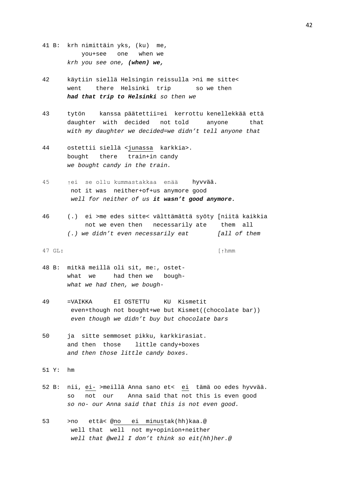- 41 B: krh nimittäin yks, (ku) me, you+see one when we  *krh you see one, (when) we,*
- 42 käytiin siellä Helsingin reissulla >ni me sitte< went there Helsinki trip so we then  *had that trip to Helsinki so then we*
- 43 tytön kanssa päätettii=ei kerrottu kenellekkää että daughter with decided not told anyone that  *with my daughter we decided=we didn't tell anyone that*
- 44 ostettii siellä <junassa karkkia>. bought there train+in candy  *we bought candy in the train.*
- 45 ↑ei se ollu kummastakkaa enää hyvvää. not it was neither+of+us anymore good  *well for neither of us it wasn't good anymore.*
- 46 (.) ei >me edes sitte< välttämättä syöty [niitä kaikkia not we even then necessarily ate them all  *(.) we didn't even necessarily eat [all of them*
- $47 \text{ GL}:$

- 48 B: mitkä meillä oli sit, me:, ostet what we had then we bough  *what we had then, we bough-*
- 49 =VAIKKA EI OSTETTU KU Kismetit even+though not bought+we but Kismet((chocolate bar))  *even though we didn't buy but chocolate bars*
- 50 ja sitte semmoset pikku, karkkirasiat. and then those little candy+boxes  *and then those little candy boxes.*
- 51 Y: hm
- 52 B: nii, ei- >meillä Anna sano et< ei tämä oo edes hyvvää. so not our Anna said that not this is even good  *so no- our Anna said that this is not even good.*
- 53 >no että< @no ei minustak(hh)kaa.@ well that well not my+opinion+neither  *well that @well I don't think so eit(hh)her.@*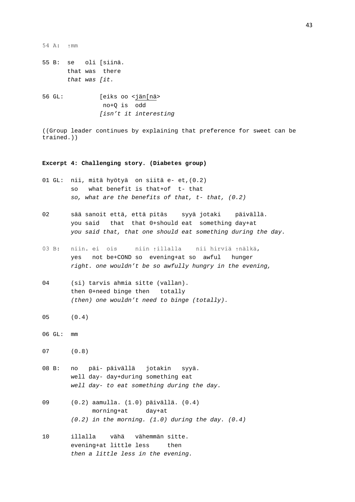54 A: ↑mm

- 55 B: se oli [siinä. that was there  *that was [it.*
- 56 GL: [eiks oo <jän[nä> no+Q is odd  *[isn't it interesting*

((Group leader continues by explaining that preference for sweet can be trained.))

#### **Excerpt 4: Challenging story. (Diabetes group)**

- 01 GL: nii, mitä hyötyä on siitä e- et,(0.2) so what benefit is that+of t- that  *so, what are the benefits of that, t- that, (0.2)*
- 02 sää sanoit että, että pitäs syyä jotaki päivällä. you said that that 0+should eat something day+at  *you said that, that one should eat something during the day.*
- 03 B: niin. ei ois niin ↑illalla nii hirviä ↑nälkä, yes not be+COND so evening+at so awful hunger  *right. one wouldn't be so awfully hungry in the evening,*
- 04 (si) tarvis ahmia sitte (vallan). then 0+need binge then totally  *(then) one wouldn't need to binge (totally).*
- 05 (0.4)
- 06 GL: mm
- 07 (0.8)
- 08 B: no päi- päivällä jotakin syyä. well day- day+during something eat  *well day- to eat something during the day.*
- 09 (0.2) aamulla. (1.0) päivällä. (0.4) morning+at day+at  *(0.2) in the morning. (1.0) during the day. (0.4)*
- 10 illalla vähä vähemmän sitte. evening+at little less then  *then a little less in the evening.*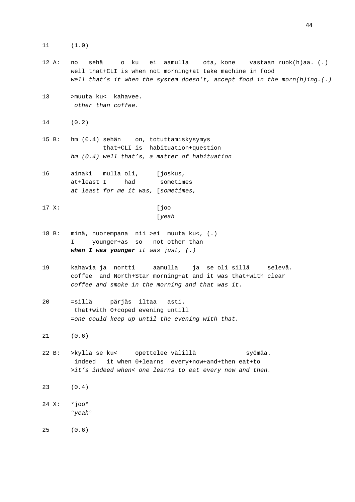- 11 (1.0)
- 12 A: no sehä o ku ei aamulla ota, kone vastaan ruok(h)aa. (.) well that+CLI is when not morning+at take machine in food  *well that's it when the system doesn't, accept food in the morn(h)ing.(.)*
- 13 >muuta ku< kahavee.  *other than coffee.*
- 14 (0.2)
- 15 B: hm (0.4) sehän on, totuttamiskysymys that+CLI is habituation+question  *hm (0.4) well that's, a matter of habituation*
- 16 ainaki mulla oli, [joskus, at+least I had sometimes  *at least for me it was,* [*sometimes,*
- 17 X: [joo [*yeah*
- 18 B: minä, nuorempana nii >ei muuta ku<, (.) I younger+as so not other than  *when I was younger it was just, (.)*
- 19 kahavia ja nortti aamulla ja se oli sillä selevä. coffee and North+Star morning+at and it was that+with clear  *coffee and smoke in the morning and that was it.*
- 20 =sillä pärjäs iltaa asti. that+with 0+coped evening untill  *=one could keep up until the evening with that.*
- 21 (0.6)
- 22 B: >kyllä se ku< opettelee välillä syömää. indeed it when 0+learns every+now+and+then eat+to  *>it's indeed when< one learns to eat every now and then.*
- 23 (0.4)
- 24 X: °joo°  *°yeah°*
- 25 (0.6)